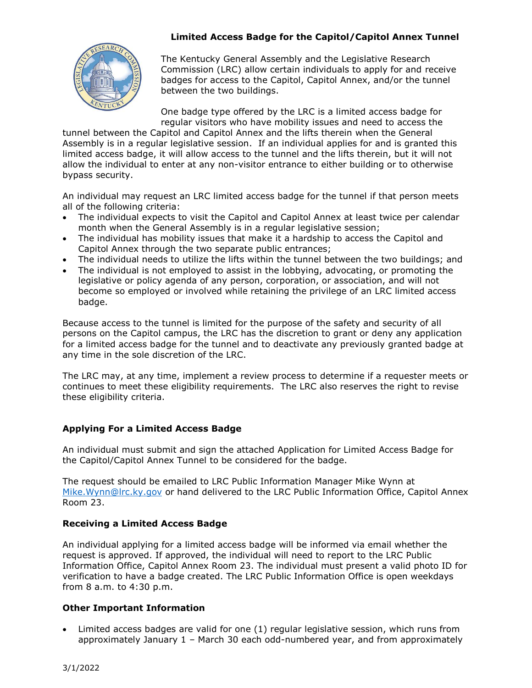# **Limited Access Badge for the Capitol/Capitol Annex Tunnel**



The Kentucky General Assembly and the Legislative Research Commission (LRC) allow certain individuals to apply for and receive badges for access to the Capitol, Capitol Annex, and/or the tunnel between the two buildings.

One badge type offered by the LRC is a limited access badge for regular visitors who have mobility issues and need to access the

tunnel between the Capitol and Capitol Annex and the lifts therein when the General Assembly is in a regular legislative session. If an individual applies for and is granted this limited access badge, it will allow access to the tunnel and the lifts therein, but it will not allow the individual to enter at any non-visitor entrance to either building or to otherwise bypass security.

An individual may request an LRC limited access badge for the tunnel if that person meets all of the following criteria:

- The individual expects to visit the Capitol and Capitol Annex at least twice per calendar month when the General Assembly is in a regular legislative session;
- The individual has mobility issues that make it a hardship to access the Capitol and Capitol Annex through the two separate public entrances;
- The individual needs to utilize the lifts within the tunnel between the two buildings; and
- The individual is not employed to assist in the lobbying, advocating, or promoting the legislative or policy agenda of any person, corporation, or association, and will not become so employed or involved while retaining the privilege of an LRC limited access badge.

Because access to the tunnel is limited for the purpose of the safety and security of all persons on the Capitol campus, the LRC has the discretion to grant or deny any application for a limited access badge for the tunnel and to deactivate any previously granted badge at any time in the sole discretion of the LRC.

The LRC may, at any time, implement a review process to determine if a requester meets or continues to meet these eligibility requirements. The LRC also reserves the right to revise these eligibility criteria.

# **Applying For a Limited Access Badge**

An individual must submit and sign the attached Application for Limited Access Badge for the Capitol/Capitol Annex Tunnel to be considered for the badge.

The request should be emailed to LRC Public Information Manager Mike Wynn at Mike. Wynn@lrc.ky.gov or hand delivered to the LRC Public Information Office, Capitol Annex Room 23.

# **Receiving a Limited Access Badge**

An individual applying for a limited access badge will be informed via email whether the request is approved. If approved, the individual will need to report to the LRC Public Information Office, Capitol Annex Room 23. The individual must present a valid photo ID for verification to have a badge created. The LRC Public Information Office is open weekdays from 8 a.m. to 4:30 p.m.

### **Other Important Information**

 Limited access badges are valid for one (1) regular legislative session, which runs from approximately January 1 – March 30 each odd-numbered year, and from approximately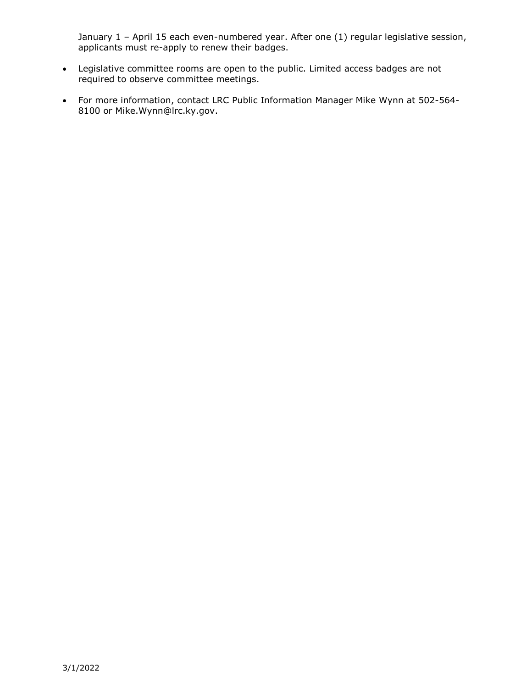January 1 - April 15 each even-numbered year. After one (1) regular legislative session, applicants must re-apply to renew their badges.

- Legislative committee rooms are open to the public. Limited access badges are not required to observe committee meetings.
- For more information, contact LRC Public Information Manager Mike Wynn at 502-564- 8100 or Mike.Wynn@lrc.ky.gov.